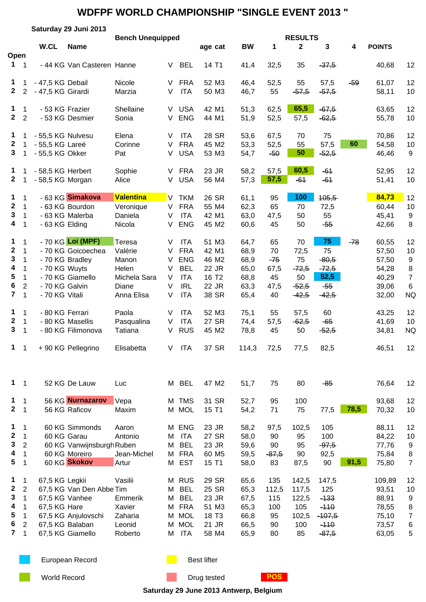|                                                           |                                                                                                   |                                                         | Saturday 29 Juni 2013                                                                       |                                                                            |                                 |                                                                                                |                                                                         |                                                      |                                               |                                                         |                                                                   |       |                                                              |                                                        |
|-----------------------------------------------------------|---------------------------------------------------------------------------------------------------|---------------------------------------------------------|---------------------------------------------------------------------------------------------|----------------------------------------------------------------------------|---------------------------------|------------------------------------------------------------------------------------------------|-------------------------------------------------------------------------|------------------------------------------------------|-----------------------------------------------|---------------------------------------------------------|-------------------------------------------------------------------|-------|--------------------------------------------------------------|--------------------------------------------------------|
| Open                                                      |                                                                                                   | W.CL                                                    | <b>Name</b>                                                                                 | <b>Bench Unequipped</b>                                                    |                                 |                                                                                                | age cat                                                                 | <b>BW</b>                                            | 1                                             | <b>RESULTS</b><br>$\mathbf{2}$                          | 3                                                                 | 4     | <b>POINTS</b>                                                |                                                        |
| $1 \quad 1$                                               |                                                                                                   |                                                         | - 44 KG Van Casteren Hanne                                                                  |                                                                            | V                               | <b>BEL</b>                                                                                     | 14 T1                                                                   | 41,4                                                 | 32,5                                          | 35                                                      | $-37,5$                                                           |       | 40,68                                                        | 12                                                     |
| 1<br>$\mathbf{2}$                                         | $\overline{2}$                                                                                    | - 47,5 KG Debail<br>- 47,5 KG Girardi                   |                                                                                             | Nicole<br>Marzia                                                           | V<br>V                          | <b>FRA</b><br><b>ITA</b>                                                                       | 52 M3<br>50 M3                                                          | 46,4<br>46,7                                         | 52,5<br>55                                    | 55<br>$-57,5$                                           | 57,5<br>$-57,5$                                                   | $-59$ | 61,07<br>58,11                                               | 12<br>10                                               |
| 1<br>2 <sub>2</sub>                                       | $\mathbf{1}$                                                                                      | - 53 KG Frazier                                         | - 53 KG Desmier                                                                             | Shellaine<br>Sonia                                                         | V.<br>V                         | <b>USA</b><br><b>ENG</b>                                                                       | 42 M1<br>44 M1                                                          | 51,3<br>51,9                                         | 62,5<br>52,5                                  | 65,5<br>57,5                                            | $-67,5$<br>$-62,5$                                                |       | 63,65<br>55,78                                               | 12<br>10                                               |
| $\mathbf 1$<br>$\mathbf{2}$<br>$3 \quad 1$                | 1                                                                                                 | - 55,5 KG Nulvesu<br>- 55,5 KG Lareé<br>- 55,5 KG Okker |                                                                                             | Elena<br>Corinne<br>Pat                                                    | V<br>V<br>V                     | <b>ITA</b><br><b>FRA</b><br><b>USA</b>                                                         | 28 SR<br>45 M2<br>53 M3                                                 | 53,6<br>53,3<br>54,7                                 | 67,5<br>52,5<br>$-50$                         | 70<br>55<br>50                                          | 75<br>57,5<br>$-52,5$                                             | 60    | 70,86<br>54,58<br>46,46                                      | 12<br>10<br>9                                          |
| $\mathbf{1}$<br>$2 \t1$                                   |                                                                                                   | - 58,5 KG Herbert<br>- 58,5 KG Morgan                   |                                                                                             | Sophie<br>Alice                                                            | V<br>$\vee$                     | <b>FRA</b><br><b>USA</b>                                                                       | 23 JR<br>56 M4                                                          | 58,2<br>57,3                                         | 57,5<br>57,5                                  | 60,5<br>$-61$                                           | $-61$<br>$-64$                                                    |       | 52,95<br>51,41                                               | 12<br>10                                               |
| 1<br>$\mathbf{2}$<br>3<br>4                               | $\mathbf 1$<br>$\mathbf{1}$<br>$\overline{\phantom{1}}$<br>$\overline{\phantom{1}}$               | - 63 KG Elding                                          | - 63 KG Simakova<br>- 63 KG Bourdon<br>- 63 KG Malerba                                      | <b>Valentina</b><br>Veronique<br>Daniela<br>Nicola                         | V.<br>V<br>V<br>V               | <b>TKM</b><br><b>FRA</b><br><b>ITA</b><br><b>ENG</b>                                           | 26 SR<br>55 M4<br>42 M1<br>45 M2                                        | 61,1<br>62,3<br>63,0<br>60,6                         | 95<br>65<br>47,5<br>45                        | 100<br>70<br>50<br>50                                   | 105,5<br>72,5<br>55<br>$-55$                                      |       | 84,73<br>60,44<br>45,41<br>42,66                             | 12<br>10<br>9<br>8                                     |
| 1<br>$\boldsymbol{2}$<br>3<br>4<br>5<br>6<br>$\mathbf{7}$ | $\mathbf 1$<br>1<br>$\mathbf 1$<br>$\mathbf 1$<br>$\mathbf 1$<br>$\overline{2}$<br>$\overline{1}$ | - 70 KG Wuyts<br>- 70 KG Galvin<br>- 70 KG Vitali       | - 70 KG Loi (MPF)<br>- 70 KG Goicoechea<br>- 70 KG Bradley<br>- 70 KG Giamello              | Teresa<br>Valérie<br>Manon<br>Helen<br>Michela Sara<br>Diane<br>Anna Elisa | V<br>V<br>V<br>V<br>V<br>V<br>V | <b>ITA</b><br><b>FRA</b><br><b>ENG</b><br><b>BEL</b><br><b>ITA</b><br><b>IRL</b><br><b>ITA</b> | 51 M3<br>42 M1<br>46 M2<br>22 JR<br>16 T <sub>2</sub><br>22 JR<br>38 SR | 64,7<br>68,9<br>68,9<br>65,0<br>68,8<br>63,3<br>65,4 | 65<br>70<br>$-75$<br>67,5<br>45<br>47,5<br>40 | 70<br>72,5<br>75<br>$-72,5$<br>50<br>$-52,5$<br>$-42,5$ | 75<br>75<br>$-80,5$<br>$-72,5$<br>52,5<br>$-55$<br>$-42,5$        | $-78$ | 60,55<br>57,50<br>57,50<br>54,28<br>40,29<br>39,06<br>32,00  | 12<br>10<br>9<br>8<br>$\overline{7}$<br>6<br><b>NQ</b> |
| 1<br>$\mathbf{2}$<br>$3\phantom{a}$                       | $\mathbf 1$<br>$\overline{1}$<br>$\overline{\phantom{0}}$ 1                                       | - 80 KG Ferrari                                         | - 80 KG Masellis<br>- 80 KG Filimonova                                                      | Paola<br>Pasqualina<br>Tatiana                                             | V<br>V<br>V                     | <b>ITA</b><br><b>ITA</b><br><b>RUS</b>                                                         | 52 M3<br>27 SR<br>45 M2                                                 | 75,1<br>74,4<br>78,8                                 | 55<br>57,5<br>45                              | 57,5<br>$-62,5$<br>50                                   | 60<br>$-65$<br>$-52,5$                                            |       | 43,25<br>41,69<br>34,81                                      | 12<br>10<br><b>NQ</b>                                  |
| $1 \quad 1$                                               |                                                                                                   |                                                         | + 90 KG Pellegrino                                                                          | Elisabetta                                                                 | V                               | <b>ITA</b>                                                                                     | 37 SR                                                                   | 114,3                                                | 72,5                                          | 77,5                                                    | 82,5                                                              |       | 46,51                                                        | 12                                                     |
| $1 \quad 1$                                               |                                                                                                   |                                                         | 52 KG De Lauw                                                                               | Luc                                                                        |                                 | M BEL                                                                                          | 47 M2                                                                   | 51,7                                                 | 75                                            | 80                                                      | $-85$                                                             |       | 76,64                                                        | 12                                                     |
| 1<br>$2 \quad 1$                                          | $\overline{1}$                                                                                    |                                                         | 56 KG Nurnazarov<br>56 KG Raficov                                                           | Vepa<br>Maxim                                                              |                                 | M TMS<br>M MOL                                                                                 | 31 SR<br>15 T1                                                          | 52,7<br>54,2                                         | 95<br>71                                      | 100<br>75                                               | 77,5                                                              | 78,5  | 93,68<br>70,32                                               | 12<br>10                                               |
| 1<br>$\mathbf 2$<br>3<br>4<br>5                           | $\mathbf 1$<br>1<br>2<br>1<br>-1                                                                  |                                                         | 60 KG Simmonds<br>60 KG Garau<br>60 KG Vanwijnsburgh Ruben<br>60 KG Moreiro<br>60 KG Skokov | Aaron<br>Antonio<br>Jean-Michel<br>Artur                                   | М<br>М<br>М<br>M<br>M           | <b>ENG</b><br><b>ITA</b><br><b>BEL</b><br><b>FRA</b><br><b>EST</b>                             | 23 JR<br>27 SR<br>23 JR<br>60 M <sub>5</sub><br>15 T1                   | 58,2<br>58,0<br>59,6<br>59,5<br>58,0                 | 97,5<br>90<br>90<br>$-87,5$<br>83             | 102,5<br>95<br>95<br>90<br>87,5                         | 105<br>100<br>$-97,5$<br>92,5<br>90                               | 91,5  | 88,11<br>84,22<br>77,76<br>75,84<br>75,80                    | 12<br>10<br>9<br>8<br>$\overline{7}$                   |
| 1<br>$\mathbf{2}$<br>3<br>4<br>5<br>6<br>$\overline{7}$   | $\mathbf 1$<br>2<br>$\mathbf{1}$<br>$\mathbf{1}$<br>$\mathbf{1}$<br>2<br>$\mathbf{1}$             | 67,5 KG Legkii<br>67,5 KG Vanhee<br>67,5 KG Hare        | 67,5 KG Van Den Abbe Tim<br>67,5 KG Anjulovschi<br>67,5 KG Balaban<br>67,5 KG Giamello      | Vasilii<br>Emmerik<br>Xavier<br>Zaharia<br>Leonid<br>Roberto               | M<br>М<br>М<br>M<br>M<br>М<br>M | <b>RUS</b><br><b>BEL</b><br><b>BEL</b><br><b>FRA</b><br><b>MOL</b><br><b>MOL</b><br><b>ITA</b> | 29 SR<br>25 SR<br>23 JR<br>51 M3<br>18 T <sub>3</sub><br>21 JR<br>58 M4 | 65,6<br>65,3<br>67,5<br>65,3<br>66,8<br>66,5<br>65,9 | 135<br>112,5<br>115<br>100<br>95<br>90<br>80  | 142,5<br>117,5<br>122,5<br>105<br>102,5<br>100<br>85    | 147,5<br>125<br>$-133$<br>$-110$<br>$-107,5$<br>$-110$<br>$-87,5$ |       | 109,89<br>93,51<br>88,91<br>78,55<br>75,10<br>73,57<br>63,05 | 12<br>10<br>9<br>8<br>$\overline{7}$<br>6<br>5         |

European Record **Best lifter** Best lifter

World Record **Drug tested POS** 

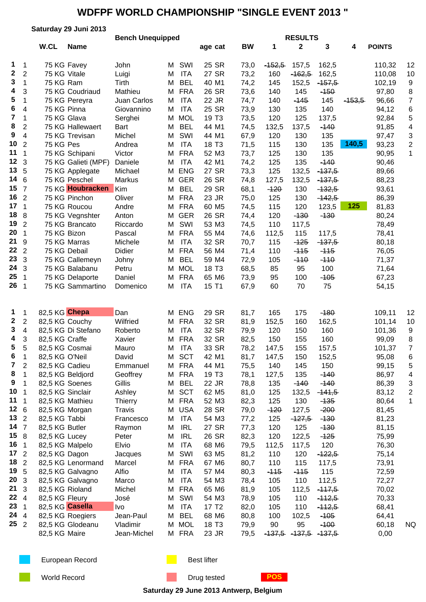|                  | Saturday 29 Juni 2013      |                                  |                     |                         |        |                          |                            |              |              |                |               |          |                |                |  |
|------------------|----------------------------|----------------------------------|---------------------|-------------------------|--------|--------------------------|----------------------------|--------------|--------------|----------------|---------------|----------|----------------|----------------|--|
|                  |                            | W.CL                             |                     | <b>Bench Unequipped</b> |        |                          |                            |              |              | <b>RESULTS</b> |               |          |                |                |  |
|                  |                            |                                  | <b>Name</b>         |                         |        |                          | age cat                    | <b>BW</b>    | 1            | $\mathbf{2}$   | 3             | 4        | <b>POINTS</b>  |                |  |
| 1                | $\overline{1}$             | 75 KG Favey                      |                     | John                    | М      | SWI                      | 25 SR                      | 73,0         | $-152,5$     | 157,5          | 162,5         |          | 110,32         | 12             |  |
| $\boldsymbol{2}$ | $\overline{2}$             | 75 KG Vitale                     |                     | Luigi                   | М      | <b>ITA</b>               | 27 SR                      | 73,2         | 160          | $-162,5$       | 162,5         |          | 110,08         | 10             |  |
| 3                | $\mathbf 1$                | 75 KG Ram                        |                     | Tirth                   | М      | <b>BEL</b>               | 40 M1                      | 74,2         | 145          | 152,5          | $-157,5$      |          | 102,19         | 9              |  |
| 4                | 3                          |                                  | 75 KG Coudriaud     | Mathieu                 | M      | <b>FRA</b>               | 26 SR                      | 73,6         | 140          | 145            | $-150$        |          | 97,80          | 8              |  |
| 5                | $\mathbf{1}$               |                                  | 75 KG Pereyra       | Juan Carlos             | М      | <b>ITA</b>               | 22 JR                      | 74,7         | 140          | $-145$         | 145           | $-153,5$ | 96,66          | 7              |  |
| 6                | 4                          | 75 KG Pinna                      |                     | Giovannino              | M      | <b>ITA</b>               | 25 SR                      | 73,9         | 130          | 135            | 140           |          | 94,12          | 6              |  |
| $\overline{7}$   | $\mathbf 1$                | 75 KG Glava                      |                     | Serghei                 | М      | <b>MOL</b>               | 19 T <sub>3</sub>          | 73,5         | 120          | 125            | 137,5         |          | 92,84          | 5              |  |
| 8                | $\overline{2}$             |                                  | 75 KG Hallewaert    | <b>Bart</b>             | М      | <b>BEL</b>               | 44 M1                      | 74,5         | 132,5        | 137,5          | $-140$        |          | 91,85          | 4              |  |
| 9                | 4                          |                                  | 75 KG Trevisan      | Michel                  | M      | SWI                      | 44 M1                      | 67,9         | 120          | 130            | 135           |          | 97,47          | 3              |  |
| 10               | $\overline{2}$             | 75 KG Pes                        |                     | Andrea                  | М      | <b>ITA</b>               | 18 T <sub>3</sub>          | 71,5         | 115          | 130            | 135           | 140,5    | 93,23          | $\overline{2}$ |  |
| 11               | $\mathbf 1$                |                                  | 75 KG Schipani      | Victor                  | M      | <b>FRA</b>               | 52 M3                      | 73,7         | 125          | 130            | 135           |          | 90,95          | $\mathbf 1$    |  |
| 12 <sub>3</sub>  |                            |                                  | 75 KG Galieti (MPF) | Daniele                 | М      | <b>ITA</b>               | 42 M1                      | 74,2         | 125          | 135            | $-140$        |          | 90,46          |                |  |
| 13, 5            |                            |                                  | 75 KG Applegate     | Michael                 | M      | <b>ENG</b>               | 27 SR                      | 73,3         | 125          | 132,5          | $-137,5$      |          | 89,66          |                |  |
| 146              |                            |                                  | 75 KG Peschel       | Markus                  |        | M GER                    | 26 SR                      | 74,8         | 127,5        | 132,5          | $-137,5$      |          | 88,23          |                |  |
| $15 \t7$         |                            |                                  | 75 KG Houbracken    | Kim                     | M      | <b>BEL</b>               | 29 SR                      | 68,1         | $-120$       | 130            | $-132,5$      |          | 93,61          |                |  |
| 16 <sub>2</sub>  |                            |                                  | 75 KG Pinchon       | Oliver                  | М      | <b>FRA</b>               | 23 JR                      | 75,0         | 125          | 130            | $-142,5$      |          | 86,39          |                |  |
| 17 <sub>1</sub>  |                            |                                  | 75 KG Roucou        | Andre                   | М      | <b>FRA</b>               | 60 M <sub>5</sub>          | 74,5         | 115          | 120            | 123,5         | 125      | 81,83          |                |  |
| 18 <sub>8</sub>  |                            |                                  | 75 KG Vegnshter     | Anton                   | М      | <b>GER</b>               | 26 SR                      | 74,4         | 120          | $-130$         | $-130$        |          | 80,24          |                |  |
| 19 <sub>2</sub>  |                            |                                  | 75 KG Brancato      | Riccardo                | М      | SWI                      | 53 M3                      | 74,5         | 110          | 117,5          |               |          | 78,49          |                |  |
| 20               | $\overline{\mathbf{1}}$    | 75 KG Bizon                      |                     | Pascal                  | М      | <b>FRA</b>               | 55 M4                      | 74,6         | 112,5        | 115            | 117,5         |          | 78,41          |                |  |
| 21               | 9                          |                                  | 75 KG Marras        | Michele                 | М      | <b>ITA</b>               | 32 SR                      | 70,7         | 115          | $-125$         | $-137,5$      |          | 80,18          |                |  |
| 22               | $\overline{2}$             |                                  | 75 KG Debail        | Didier                  | М      | <b>FRA</b>               | 56 M4                      | 71,4         | 110          | $-115$         | $-115$        |          | 76,05          |                |  |
| 23               | 3                          |                                  | 75 KG Callemeyn     | Johny                   | М      | <b>BEL</b>               | 59 M4                      | 72,9         | 105          | $-110$         | $-110$        |          | 71,37          |                |  |
| 24               | 3                          |                                  | 75 KG Balabanu      | Petru                   | М      | <b>MOL</b>               | 18 T <sub>3</sub>          | 68,5         | 85           | 95             | 100           |          | 71,64          |                |  |
| 25               | $\overline{\mathbf{1}}$    |                                  | 75 KG Delaporte     | Daniel                  | М      | <b>FRA</b>               | 65 M6                      | 73,9         | 95           | 100            | $-105$        |          | 67,23          |                |  |
| 26 <sub>1</sub>  |                            |                                  | 75 KG Sammartino    | Domenico                | М      | <b>ITA</b>               | 15 T1                      | 67,9         | 60           | 70             | 75            |          | 54,15          |                |  |
|                  |                            |                                  |                     |                         |        |                          |                            |              |              |                |               |          |                |                |  |
| $\mathbf{1}$     | $\mathbf{1}$               | 82,5 KG Chepa                    |                     | Dan                     |        | M ENG                    | 29 SR                      | 81,7         | 165          | 175            | $-180$        |          | 109,11         | 12             |  |
| $\boldsymbol{2}$ | $\overline{2}$             | 82,5 KG Couchy                   |                     | Wilfried                | M      | <b>FRA</b>               | 32 SR                      | 81,9         | 152,5        | 160            | 162,5         |          | 101,14         | 10             |  |
| 3                | $\overline{4}$             |                                  | 82,5 KG Di Stefano  | Roberto                 | М      | <b>ITA</b>               | 32 SR                      | 79,9         | 120          | 150            | 160           |          | 101,36         | 9              |  |
| 4                | 3                          | 82,5 KG Craffe                   |                     | Xavier                  | М      | <b>FRA</b>               | 32 SR                      | 82,5         | 150          | 155            | 160           |          | 99,09          | 8              |  |
| 5                | 5                          | 82,5 KG Cosmai                   |                     | Mauro                   | M      | <b>ITA</b>               | 33 SR                      | 78,2         | 147,5        | 155            | 157,5         |          | 101,37         | $\overline{7}$ |  |
| 6                | $\mathbf 1$                | 82,5 KG O'Neil                   |                     | David                   | М      | <b>SCT</b>               | 42 M1                      | 81,7         | 147,5        | 150            | 152,5         |          | 95,08          | 6              |  |
| 7                | $\overline{2}$             | 82,5 KG Cadieu                   |                     | Emmanuel                |        | M FRA                    | 44 M1                      | 75,5         | 140          | 145            | 150           |          | 99,15          | 5              |  |
| 8                | 1                          |                                  | 82,5 KG Beldjord    | Geoffrey                |        | M FRA                    | 19 T <sub>3</sub>          | 78,1         | 127,5        | 135            | $-140$        |          | 86,97          | 4              |  |
| 9                | 1                          | 82,5 KG Soenes                   |                     | Gillis                  | М      | <b>BEL</b>               | 22 JR                      | 78,8         | 135          | $-140$         | $-140$        |          | 86,39          | 3              |  |
| 10               | -1                         | 82,5 KG Sinclair                 |                     | Ashley                  | М      | <b>SCT</b>               | 62 M <sub>5</sub>          | 81,0         | 125          | 132,5          | $-141,5$      |          | 83,12          | 2              |  |
| 11               | -1                         | 82,5 KG Mathieu                  |                     | Thierry                 | M      | <b>FRA</b>               | 52 M3                      | 82,3         | 125          | 130            | $-135$        |          | 80,64          | 1              |  |
| 126              |                            | 82,5 KG Morgan                   |                     | Travis                  | М      | <b>USA</b>               | 28 SR                      | 79,0         | $-120$       | 127,5          | $-200$        |          | 81,45          |                |  |
| 13 <sub>2</sub>  |                            | 82,5 KG Tabbi                    |                     | Francesco               | М      | <b>ITA</b>               | 54 M3                      | 77,2         | 125          | $-127,5$       | $-130$        |          | 81,23          |                |  |
| 147<br>158       |                            | 82,5 KG Butler                   |                     | Raymon                  | М      | <b>IRL</b>               | 27 SR                      | 77,3         | 120          | 125            | $-130$        |          | 81,15          |                |  |
| 16               | $\overline{\phantom{0}}$ 1 | 82,5 KG Lucey                    |                     | Peter                   | M      | <b>IRL</b><br><b>ITA</b> | 26 SR                      | 82,3         | 120          | 122,5          | $-125$<br>120 |          | 75,99          |                |  |
| 17 <sub>2</sub>  |                            | 82,5 KG Malpelo<br>82,5 KG Dagon |                     | Elvio<br>Jacques        | M<br>М | SWI                      | 68 M6<br>63 M <sub>5</sub> | 79,5<br>81,2 | 112,5<br>110 | 117,5<br>120   | $-122,5$      |          | 76,30<br>75,14 |                |  |
| 18 <sub>2</sub>  |                            |                                  | 82,5 KG Lenormand   | Marcel                  | М      | <b>FRA</b>               | 67 M6                      | 80,7         | 110          | 115            | 117,5         |          | 73,91          |                |  |
| 19 5             |                            |                                  | 82,5 KG Galvagno    | Alfio                   | М      | <b>ITA</b>               | 57 M4                      | 80,3         | $-115$       | $-115$         | 115           |          | 72,59          |                |  |
| 20               | 3                          |                                  | 82,5 KG Galvagno    | Marco                   | М      | <b>ITA</b>               | 54 M3                      | 78,4         | 105          | 110            | 112,5         |          | 72,27          |                |  |
| 21               | 3                          | 82,5 KG Rioland                  |                     | Michel                  | М      | <b>FRA</b>               | 65 M6                      | 81,9         | 105          | 112,5          | $-117,5$      |          | 70,02          |                |  |
| 22 4             |                            | 82,5 KG Fleury                   |                     | José                    | М      | SWI                      | 54 M3                      | 78,9         | 105          | 110            | $-112,5$      |          | 70,33          |                |  |
| 23               | $\overline{1}$             | 82,5 KG Casella                  |                     | Ivo                     | М      | ITA                      | 17 T <sub>2</sub>          | 82,0         | 105          | 110            | $-112,5$      |          | 68,41          |                |  |
| 24 4             |                            |                                  | 82,5 KG Roegiers    | Jean-Paul               | М      | <b>BEL</b>               | 68 M6                      | 80,8         | 100          | 102,5          | $-105$        |          | 64,41          |                |  |
| $25^{2}$         |                            |                                  | 82,5 KG Glodeanu    | Vladimir                |        | M MOL                    | 18 T <sub>3</sub>          | 79,9         | 90           | 95             | $-100$        |          | 60,18          | NQ.            |  |
|                  |                            | 82,5 KG Maire                    |                     | Jean-Michel             |        | M FRA                    | 23 JR                      | 79,5         | $-137,5$     | $-137,5$       | $-137,5$      |          | 0,00           |                |  |
|                  |                            |                                  |                     |                         |        |                          |                            |              |              |                |               |          |                |                |  |

European Record **Best lifter** Best lifter

World Record **Drug tested POS** 

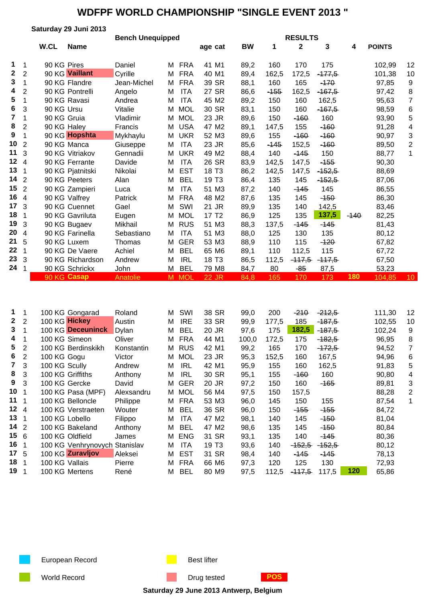|                         |                         |             | Saturday 29 Juni 2013 |                         |   |            |                   |           |        |                |          |        |               |                 |
|-------------------------|-------------------------|-------------|-----------------------|-------------------------|---|------------|-------------------|-----------|--------|----------------|----------|--------|---------------|-----------------|
|                         |                         |             |                       | <b>Bench Unequipped</b> |   |            |                   |           |        | <b>RESULTS</b> |          |        |               |                 |
|                         |                         | W.CL        | <b>Name</b>           |                         |   |            | age cat           | <b>BW</b> | 1      | $\mathbf{2}$   | 3        | 4      | <b>POINTS</b> |                 |
|                         |                         |             |                       |                         |   |            |                   |           |        |                |          |        |               |                 |
| 1                       | -1                      | 90 KG Pires |                       | Daniel                  | м | <b>FRA</b> | 41 M1             | 89,2      | 160    | 170            | 175      |        | 102,99        | 12              |
| $\mathbf 2$             | $\overline{2}$          |             | 90 KG Vaillant        | Cyrille                 | М | <b>FRA</b> | 40 M1             | 89,4      | 162,5  | 172,5          | $-477,5$ |        | 101,38        | 10              |
| 3                       | 1                       |             | 90 KG Flandre         | Jean-Michel             | M | <b>FRA</b> | 39 SR             | 88,1      | 160    | 165            | $-170$   |        | 97,85         | 9               |
| 4                       | 2                       |             | 90 KG Pontrelli       | Angelo                  | M | <b>ITA</b> | 27 SR             | 86,6      | $-155$ | 162,5          | $-167,5$ |        | 97,42         | 8               |
| 5                       | 1                       |             | 90 KG Ravasi          | Andrea                  | M | <b>ITA</b> | 45 M2             | 89,2      | 150    | 160            | 162,5    |        | 95,63         | $\overline{7}$  |
| 6                       | 3                       | 90 KG Ursu  |                       | Vitalie                 | M | <b>MOL</b> | 30 SR             | 83,1      | 150    | 160            | $-167,5$ |        | 98,59         | 6               |
| $\overline{\mathbf{r}}$ | 1                       | 90 KG Gruia |                       | Vladimir                | М | <b>MOL</b> | 23 JR             | 89,6      | 150    | $-160$         | 160      |        | 93,90         | 5               |
| 8                       | $\overline{2}$          | 90 KG Haley |                       | Francis                 | M | <b>USA</b> | 47 M2             | 89,1      | 147,5  | 155            | $-160$   |        | 91,28         | 4               |
| 9                       | 1                       |             | 90 KG Hopshta         | Mykhaylu                | М | <b>UKR</b> | 52 M3             | 89,6      | 155    | $-160$         | $-160$   |        | 90,97         | 3               |
| 10                      | $\overline{2}$          |             | 90 KG Manca           | Giuseppe                | M | <b>ITA</b> | 23 JR             | 85,6      | $-145$ | 152,5          | $-160$   |        | 89,50         | $\overline{2}$  |
| 11                      | 3                       |             | 90 KG Vitriakov       | Gennadii                | М | <b>UKR</b> | 49 M2             | 88,4      | 140    | $-145$         | 150      |        | 88,77         | 1               |
| 12                      | $\overline{4}$          |             | 90 KG Ferrante        | Davide                  | M | <b>ITA</b> | 26 SR             | 83,9      | 142,5  | 147,5          | $-155$   |        | 90,30         |                 |
| 13                      | 1                       |             | 90 KG Pjatnitski      | Nikolai                 | M | <b>EST</b> | 18 T <sub>3</sub> | 86,2      | 142,5  | 147,5          | $-152,5$ |        | 88,69         |                 |
| 14                      | $\overline{2}$          |             | 90 KG Peeters         | Alan                    | М | <b>BEL</b> | 19 T <sub>3</sub> | 86,4      | 135    | 145            | $-152,5$ |        | 87,06         |                 |
| 15                      | $\overline{2}$          |             | 90 KG Zampieri        | Luca                    | M | <b>ITA</b> | 51 M3             | 87,2      | 140    | $-145$         | 145      |        | 86,55         |                 |
| 16                      | $\overline{\mathbf{4}}$ |             | 90 KG Valfrey         | Patrick                 | М | <b>FRA</b> | 48 M2             | 87,6      | 135    | 145            | $-150$   |        | 86,30         |                 |
| 17                      | 3                       |             | 90 KG Cuennet         | Gael                    | М | SWI        | 21 JR             | 89,9      | 135    | 140            | 142,5    |        | 83,46         |                 |
| 18                      |                         |             | 90 KG Gavriluta       | Eugen                   | М | <b>MOL</b> | 17 T <sub>2</sub> | 86,9      | 125    | 135            | 137,5    | $-140$ | 82,25         |                 |
| 19                      | 3                       |             | 90 KG Bugaev          | Mikhail                 | М | <b>RUS</b> | 51 M3             | 88,3      | 137,5  | $-145$         | $-145$   |        | 81,43         |                 |
| 20                      | 4                       |             | 90 KG Farinella       | Sebastiano              | M | <b>ITA</b> | 51 M3             | 88,0      | 125    | 130            | 135      |        | 80,12         |                 |
| 21                      | 5                       |             | 90 KG Luxem           | Thomas                  | М | <b>GER</b> | 53 M3             | 88,9      | 110    | 115            | $-120$   |        | 67,82         |                 |
| 22                      | 1                       |             | 90 KG De Vaere        | Achiel                  | M | <b>BEL</b> | 65 M6             | 89,1      | 110    | 112,5          | 115      |        | 67,72         |                 |
| 23                      | 3                       |             | 90 KG Richardson      | Andrew                  | M | <b>IRL</b> | 18 T <sub>3</sub> | 86,5      | 112,5  | $-117,5$       | $-117,5$ |        | 67,50         |                 |
| 24                      |                         |             | 90 KG Schrickx        | John                    | м | <b>BEL</b> | 79 M8             | 84,7      | 80     | $-85$          | 87,5     |        | 53,23         |                 |
|                         |                         |             | 90 KG Casap           | Anatolie                |   | M MOL      | <b>22 JR</b>      | 84,8      | 165    | 170            | 173      | 180    | 104,85        | 10 <sup>°</sup> |

| $\mathbf 1$     | 100 KG Gongarad    | Roland                            | м                             | SWI        | 38 SR                                                                                                                          | 99,0  | 200   | $-210$   | <del>-212,5</del> | 111,30          | 12             |
|-----------------|--------------------|-----------------------------------|-------------------------------|------------|--------------------------------------------------------------------------------------------------------------------------------|-------|-------|----------|-------------------|-----------------|----------------|
| $2 \quad 2$     |                    | Austin                            | м                             | <b>IRE</b> | 33 SR                                                                                                                          | 99,9  | 177,5 | 185      | $-187.5$          | 102,55          | 10             |
|                 | 100 KG Deceuninck  | Dylan                             | м                             |            | 20 JR                                                                                                                          | 97,6  | 175   | 182,5    |                   | 102,24          | 9              |
|                 | 100 KG Simeon      | Oliver                            |                               |            | 44 M1                                                                                                                          | 100.0 | 172,5 | 175      | $-182,5$          | 96,95           | 8              |
| $\overline{2}$  | 100 KG Berdinskikh | Konstantin                        |                               |            | 42 M1                                                                                                                          | 99,2  | 165   | 170      | $-172,5$          | 94,52           |                |
| $\overline{2}$  | 100 KG Gogu        | Victor                            | М                             |            | 23 JR                                                                                                                          | 95,3  | 152,5 | 160      | 167,5             | 94,96           | 6              |
| 3               | 100 KG Scully      | Andrew                            | м                             | <b>IRL</b> | 42 M1                                                                                                                          | 95,9  | 155   | 160      | 162,5             | 91,83           | 5              |
| 3               | 100 KG Griffiths   | Anthony                           | M                             | <b>IRL</b> | 30 SR                                                                                                                          | 95,1  | 155   | $-160$   | 160               | 90,80           | 4              |
| 3               | 100 KG Gercke      | David                             | М                             |            | 20 JR                                                                                                                          | 97,2  | 150   | 160      | $-165$            | 89,81           | 3              |
| 10 <sub>1</sub> | 100 KG Pasa (MPF)  | Alexsandru                        | M                             |            | 56 M4                                                                                                                          | 97,5  | 150   | 157,5    |                   | 88,28           | $\overline{2}$ |
| 11 <sub>1</sub> | 100 KG Belloncle   | Philippe                          | М                             |            | 53 M <sub>3</sub>                                                                                                              | 96,0  | 145   | 150      | 155               | 87,54           |                |
| $12 \quad 4$    | 100 KG Verstraeten | Wouter                            | м                             |            | 36 SR                                                                                                                          | 96,0  | 150   | $-155$   | <del>-155</del>   | 84,72           |                |
| 13 <sub>1</sub> | 100 KG Lobello     | Filippo                           | М                             | <b>ITA</b> | 47 M2                                                                                                                          | 98,1  | 140   | 145      | -150              | 81,04           |                |
| 14 <sub>2</sub> | 100 KG Bakeland    | Anthony                           | м                             |            | 47 M2                                                                                                                          | 98,6  | 135   | 145      | $-150$            | 80,84           |                |
| 156             | 100 KG Oldfield    | James                             | М                             |            | 31 SR                                                                                                                          | 93,1  | 135   | 140      | -145              | 80,36           |                |
| 16 <sub>1</sub> |                    |                                   | м                             | <b>ITA</b> | 19 T3                                                                                                                          | 93,6  | 140   | $-152,5$ | $-152,5$          | 80,12           |                |
| 17 <sub>5</sub> |                    | Aleksei                           | м                             |            | 31 SR                                                                                                                          | 98,4  | 140   | $-145$   | $-145$            | 78,13           |                |
| 18 <sub>1</sub> | 100 KG Vallais     | Pierre                            | м                             |            | 66 M6                                                                                                                          | 97,3  | 120   | 125      | 130               | 72,93           |                |
| 19 1            | 100 KG Mertens     | René                              | м                             | <b>BEL</b> | 80 M9                                                                                                                          | 97,5  | 112,5 | $-117.5$ | 117,5             | 65,86           |                |
|                 |                    | 100 KG Hickey<br>100 KG Zuravljov | 100 KG Venhrynovych Stanislav |            | BEL<br>M FRA<br>M RUS<br>MOL<br><b>GER</b><br><b>MOL</b><br>FRA<br><b>BEL</b><br><b>BEL</b><br><b>ENG</b><br><b>EST</b><br>FRA |       |       |          |                   | $-187,5$<br>120 |                |

European Record **Best lifter** Best lifter

World Record **Drug tested POS** 

**Saturday 29 June 2013 Antwerp, Belgium**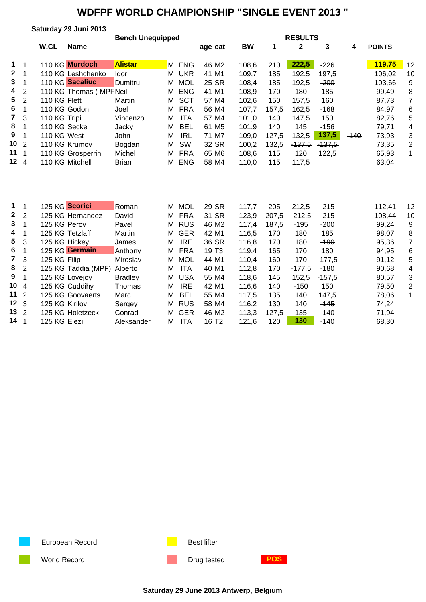|                |     |              | Saturday 29 Juni 2013   |                         |   |                |                   |           |       |                  |          |        |               |    |
|----------------|-----|--------------|-------------------------|-------------------------|---|----------------|-------------------|-----------|-------|------------------|----------|--------|---------------|----|
|                |     |              |                         | <b>Bench Unequipped</b> |   | <b>RESULTS</b> |                   |           |       |                  |          |        |               |    |
|                |     | W.CL         | <b>Name</b>             |                         |   |                | age cat           | <b>BW</b> | 1     | 2                | 3        | 4      | <b>POINTS</b> |    |
| $1 \quad 1$    |     |              | 110 KG Murdoch          | <b>Alistar</b>          |   | M ENG          | 46 M <sub>2</sub> | 108,6     | 210   | 222,5            | $-226$   |        | 119,75        | 12 |
| $2 \quad 1$    |     |              | 110 KG Leshchenko       | lgor                    | м | <b>UKR</b>     | 41 M1             | 109,7     | 185   | 192,5            | 197,5    |        | 106,02        | 10 |
| 3 <sup>1</sup> |     |              | 110 KG Sacaliuc         | Dumitru                 | м | <b>MOL</b>     | 25 SR             | 108,4     | 185   | 192,5            | $-200$   |        | 103,66        | 9  |
| 4 <sub>2</sub> |     |              | 110 KG Thomas (MPF Neil |                         | М | <b>ENG</b>     | 41 M1             | 108,9     | 170   | 180              | 185      |        | 99,49         | 8  |
| $5\quad 2$     |     | 110 KG Flett |                         | Martin                  | м | <b>SCT</b>     | 57 M4             | 102,6     | 150   | 157,5            | 160      |        | 87,73         | 7  |
| 6              |     | 110 KG Godon |                         | Joel                    | м | FRA            | 56 M4             | 107,7     | 157,5 | <del>162,5</del> | $-168$   |        | 84,97         | 6  |
| $7 \quad 3$    |     | 110 KG Tripi |                         | Vincenzo                | м | ITA            | 57 M4             | 101,0     | 140   | 147,5            | 150      |        | 82,76         | 5  |
| 8              |     | 110 KG Secke |                         | Jacky                   | м | BEL            | 61 M <sub>5</sub> | 101,9     | 140   | 145              | $-156$   |        | 79,71         | 4  |
| 9              |     | 110 KG West  |                         | John                    | м | <b>IRL</b>     | 71 M7             | 109,0     | 127,5 | 132,5            | 137,5    | $-140$ | 73,93         | 3  |
| $10^{2}$       |     |              | 110 KG Krumov           | Bogdan                  | м | SWI            | 32 SR             | 100,2     | 132,5 | $-137.5$         | $-137.5$ |        | 73,35         | 2  |
| 11             | - 1 |              | 110 KG Grosperrin       | Michel                  | м | <b>FRA</b>     | 65 M6             | 108,6     | 115   | 120              | 122,5    |        | 65,93         | 1  |
| 124            |     |              | 110 KG Mitchell         | <b>Brian</b>            | м | ENG            | 58 M4             | 110,0     | 115   | 117,5            |          |        | 63,04         |    |
|                |     |              |                         |                         |   |                |                   |           |       |                  |          |        |               |    |

| $1 \quad 1$     | 125 KG Scorici      | Roman          | M MOL           | 29 SR             | 117.7 | 205   | 212.5    | $-215$   | 112.41 | 12 |
|-----------------|---------------------|----------------|-----------------|-------------------|-------|-------|----------|----------|--------|----|
| $2 \quad 2$     | 125 KG Hernandez    | David          | M FRA           | 31 SR             | 123,9 | 207,5 | $-212,5$ | $-215$   | 108.44 | 10 |
| $3 \quad 1$     | 125 KG Perov        | Pavel          | M RUS           | 46 M <sub>2</sub> | 117.4 | 187,5 | $-195$   | $-200$   | 99,24  | 9  |
| 4 1             | 125 KG Tetzlaff     | Martin         | M GER           | 42 M1             | 116,5 | 170   | 180      | 185      | 98,07  | 8  |
| 5 <sub>3</sub>  | 125 KG Hickey       | James          | <b>IRE</b><br>М | 36 SR             | 116,8 | 170   | 180      | $-190$   | 95,36  |    |
| 6               | 125 KG Germain      | Anthony        | M FRA           | 19 T <sub>3</sub> | 119,4 | 165   | 170      | 180      | 94,95  | 6  |
| 7 <sub>3</sub>  | 125 KG Filip        | Miroslav       | M MOL           | 44 M1             | 110.4 | 160   | 170      | $-177.5$ | 91,12  | 5  |
| 8 <sub>2</sub>  | 125 KG Taddia (MPF) | Alberto        | <b>ITA</b><br>M | 40 M1             | 112,8 | 170   | $-177.5$ | $-180$   | 90,68  | 4  |
| 9 1             | 125 KG Lovejoy      | <b>Bradley</b> | M USA           | 55 M4             | 118.6 | 145   | 152.5    | $-157,5$ | 80.57  | 3  |
| 104             | 125 KG Cuddihy      | Thomas         | <b>IRE</b><br>М | 42 M1             | 116,6 | 140   | $-150$   | 150      | 79,50  | 2  |
| 11 <sub>2</sub> | 125 KG Goovaerts    | Marc           | BEL<br>M        | 55 M4             | 117.5 | 135   | 140      | 147,5    | 78,06  |    |
| 12 <sub>3</sub> | 125 KG Kirilov      | Sergey         | M RUS           | 58 M4             | 116,2 | 130   | 140      | $-145$   | 74,24  |    |
| $13 \t2$        | 125 KG Holetzeck    | Conrad         | M GER           | 46 M <sub>2</sub> | 113,3 | 127,5 | 135      | $-140$   | 71,94  |    |
| 14 <sub>1</sub> | 125 KG Elezi        | Aleksander     | <b>ITA</b><br>М | 16 T <sub>2</sub> | 121,6 | 120   | 130      | $-140$   | 68,30  |    |

European Record **Best lifter** Best lifter

World Record **Drug tested POS** 

**Saturday 29 June 2013 Antwerp, Belgium**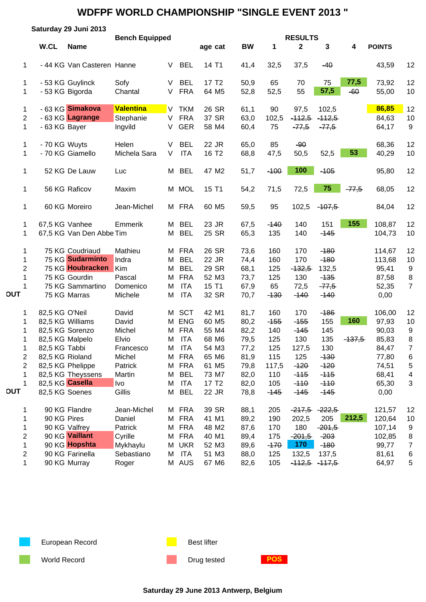|                |                | Saturday 29 Juni 2013      |                       |   |            |                   |           |        |                                |                   |          |               |                |
|----------------|----------------|----------------------------|-----------------------|---|------------|-------------------|-----------|--------|--------------------------------|-------------------|----------|---------------|----------------|
|                | W.CL           | <b>Name</b>                | <b>Bench Equipped</b> |   |            | age cat           | <b>BW</b> | 1      | <b>RESULTS</b><br>$\mathbf{2}$ | 3                 | 4        | <b>POINTS</b> |                |
|                |                |                            |                       |   |            |                   |           |        |                                |                   |          |               |                |
| $\mathbf 1$    |                | - 44 KG Van Casteren Hanne |                       | V | <b>BEL</b> | 14 T1             | 41,4      | 32,5   | 37,5                           | $-40$             |          | 43,59         | 12             |
| 1              |                | - 53 KG Guylinck           | Sofy                  | V | <b>BEL</b> | 17 T <sub>2</sub> | 50,9      | 65     | 70                             | 75                | 77,5     | 73,92         | 12             |
| 1              |                | - 53 KG Bigorda            | Chantal               | V | <b>FRA</b> | 64 M5             | 52,8      | 52,5   | 55                             | 57,5              | $-60$    | 55,00         | 10             |
| 1              |                | - 63 KG Simakova           | <b>Valentina</b>      | V | <b>TKM</b> | 26 SR             | 61,1      | 90     | 97,5                           | 102,5             |          | 86,85         | 12             |
| 2              |                | - 63 KG Lagrange           | Stephanie             | V | <b>FRA</b> | 37 SR             | 63,0      | 102,5  | $-112,5$                       | $-112,5$          |          | 84,63         | 10             |
| $\mathbf{1}$   | - 63 KG Bayer  |                            | Ingvild               | V | <b>GER</b> | 58 M4             | 60,4      | 75     | $-77,5$                        | $-77,5$           |          | 64,17         | 9              |
| 1              | - 70 KG Wuyts  |                            | Helen                 | V | <b>BEL</b> | 22 JR             | 65,0      | 85     | $-90$                          |                   |          | 68,36         | 12             |
| 1              |                | - 70 KG Giamello           | Michela Sara          | V | <b>ITA</b> | 16 T <sub>2</sub> | 68,8      | 47,5   | 50,5                           | 52,5              | 53       | 40,29         | 10             |
| 1              |                | 52 KG De Lauw              | Luc                   |   | M BEL      | 47 M2             | 51,7      | $-100$ | 100                            | $-105$            |          | 95,80         | 12             |
| 1              |                | 56 KG Raficov              | Maxim                 |   | M MOL      | 15 T1             | 54,2      | 71,5   | 72,5                           | 75                | $-77,5$  | 68,05         | 12             |
| 1              |                | 60 KG Moreiro              | Jean-Michel           |   | M FRA      | 60 M <sub>5</sub> | 59,5      | 95     | 102,5                          | $-107,5$          |          | 84,04         | 12             |
| 1              |                | 67,5 KG Vanhee             | Emmerik               | М | <b>BEL</b> | 23 JR             | 67,5      | $-140$ | 140                            | 151               | 155      | 108,87        | 12             |
| 1              |                | 67,5 KG Van Den Abbe Tim   |                       | М | <b>BEL</b> | 25 SR             | 65,3      | 135    | 140                            | $-145$            |          | 104,73        | 10             |
| 1              |                | 75 KG Coudriaud            | Mathieu               |   | M FRA      | 26 SR             | 73,6      | 160    | 170                            | $-180$            |          | 114,67        | 12             |
| 1              |                | 75 KG Sudarminto           | Indra                 | М | <b>BEL</b> | 22 JR             | 74,4      | 160    | 170                            | $-180$            |          | 113,68        | 10             |
| $\overline{2}$ |                | 75 KG Houbracken           | Kim                   | М | <b>BEL</b> | 29 SR             | 68,1      | 125    | $-132,5$                       | 132,5             |          | 95,41         | 9              |
| 1              |                | 75 KG Gourdin              | Pascal                | М | <b>FRA</b> | 52 M3             | 73,7      | 125    | 130                            | $-135$            |          | 87,58         | 8              |
| 1              |                | 75 KG Sammartino           | Domenico              | M | <b>ITA</b> | 15 T1             | 67,9      | 65     | 72,5                           | $-77,5$           |          | 52,35         | $\overline{7}$ |
| <b>OUT</b>     |                | 75 KG Marras               | Michele               | M | <b>ITA</b> | 32 SR             | 70,7      | $-130$ | $-140$                         | $-140$            |          | 0,00          |                |
| 1              | 82,5 KG O'Neil |                            | David                 | M | <b>SCT</b> | 42 M1             | 81,7      | 160    | 170                            | $-186$            |          | 106,00        | 12             |
| 1              |                | 82,5 KG Williams           | David                 | M | <b>ENG</b> | 60 M <sub>5</sub> | 80,2      | $-155$ | $-155$                         | 155               | 160      | 97,93         | 10             |
| 1              |                | 82,5 KG Sorenzo            | Michel                |   | M FRA      | 55 M4             | 82,2      | 140    | $-145$                         | 145               |          | 90,03         | 9              |
| 1              |                | 82,5 KG Malpelo            | Elvio                 | М | <b>ITA</b> | 68 M6             | 79,5      | 125    | 130                            | 135               | $-137,5$ | 85,83         | 8              |
| 1              | 82,5 KG Tabbi  |                            | Francesco             |   | M ITA      | 54 M3             | 77,2      | 125    | 127,5                          | 130               |          | 84,47         | $\overline{7}$ |
| 2              |                | 82,5 KG Rioland            | Michel                |   | M FRA      | 65 M6             | 81,9      | 115    | 125                            | $-130$            |          | 77,80         | 6              |
| 2              |                | 82,5 KG Phelippe           | Patrick               |   | M FRA      | 61 M5             | 79,8      | 117,5  | $-120$                         | $-120$            |          | 74,51         | 5              |
| 1              |                | 82,5 KG Theyssens          | Martin                | М | <b>BEL</b> | 73 M7             | 82,0      | 110    | $-115$                         | $-115$            |          | 68,41         | 4              |
| 1              |                | 82,5 KG Casella            | Ivo                   | M | <b>ITA</b> | 17 T <sub>2</sub> | 82,0      | 105    | $-110$                         | $-110$            |          | 65,30         | 3              |
| OUT            |                | 82,5 KG Soenes             | Gillis                | М | <b>BEL</b> | 22 JR             | 78,8      | $-145$ | $-145$                         | $-145$            |          | 0,00          |                |
| 1              |                | 90 KG Flandre              | Jean-Michel           |   | M FRA      | 39 SR             | 88,1      | 205    | $-217,5$                       | $-222,5$          |          | 121,57        | 12             |
| 1              | 90 KG Pires    |                            | Daniel                |   | M FRA      | 41 M1             | 89,2      | 190    | 202,5                          | 205               | 212,5    | 120,64        | 10             |
| 1              |                | 90 KG Valfrey              | Patrick               | M | <b>FRA</b> | 48 M2             | 87,6      | 170    | 180                            | $-201,5$          |          | 107,14        | 9              |
| 2              |                | 90 KG Vaillant             | Cyrille               |   | M FRA      | 40 M1             | 89,4      | 175    | $-201,5$                       | $-203$            |          | 102,85        | 8              |
| 1              |                | 90 KG Hopshta              | Mykhaylu              | M | <b>UKR</b> | 52 M3             | 89,6      | $-170$ | <b>170</b>                     | $-180$            |          | 99,77         | 7              |
| 2              |                | 90 KG Farinella            | Sebastiano            | М | ITA        | 51 M3             | 88,0      | 125    | 132,5                          | 137,5             |          | 81,61         | 6              |
| 1              |                | 90 KG Murray               | Roger                 |   | M AUS      | 67 M6             | 82,6      | 105    |                                | $-112,5$ $-117,5$ |          | 64,97         | 5              |

European Record **Best lifter** Best lifter

World Record **Drug tested POS** 

**Saturday 29 June 2013 Antwerp, Belgium**